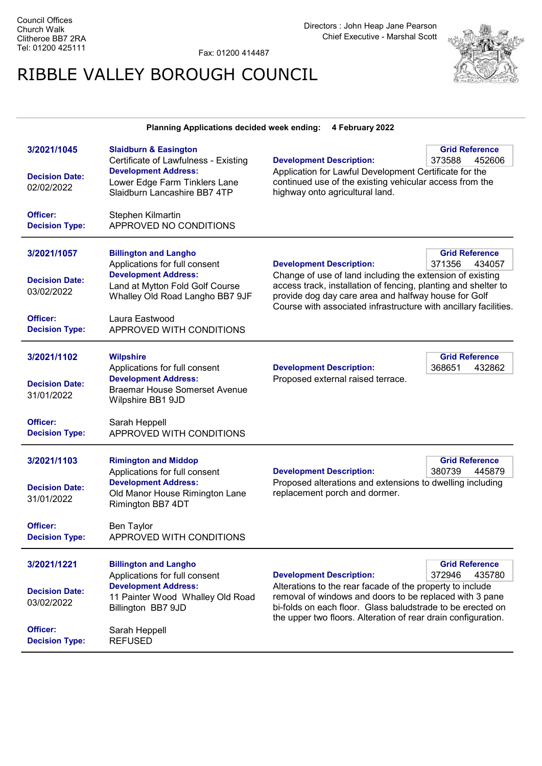Fax: 01200 414487

## RIBBLE VALLEY BOROUGH COUNCIL



## Planning Applications decided week ending: 4 February 2022

| 3/2021/1045<br><b>Decision Date:</b><br>02/02/2022<br>Officer:<br><b>Decision Type:</b> | <b>Slaidburn &amp; Easington</b><br>Certificate of Lawfulness - Existing<br><b>Development Address:</b><br>Lower Edge Farm Tinklers Lane<br>Slaidburn Lancashire BB7 4TP<br>Stephen Kilmartin<br>APPROVED NO CONDITIONS | <b>Development Description:</b><br>Application for Lawful Development Certificate for the<br>continued use of the existing vehicular access from the<br>highway onto agricultural land.                                                                                                    | <b>Grid Reference</b><br>373588<br>452606 |
|-----------------------------------------------------------------------------------------|-------------------------------------------------------------------------------------------------------------------------------------------------------------------------------------------------------------------------|--------------------------------------------------------------------------------------------------------------------------------------------------------------------------------------------------------------------------------------------------------------------------------------------|-------------------------------------------|
| 3/2021/1057<br><b>Decision Date:</b><br>03/02/2022<br>Officer:<br><b>Decision Type:</b> | <b>Billington and Langho</b><br>Applications for full consent<br><b>Development Address:</b><br>Land at Mytton Fold Golf Course<br>Whalley Old Road Langho BB7 9JF<br>Laura Eastwood<br>APPROVED WITH CONDITIONS        | <b>Development Description:</b><br>Change of use of land including the extension of existing<br>access track, installation of fencing, planting and shelter to<br>provide dog day care area and halfway house for Golf<br>Course with associated infrastructure with ancillary facilities. | <b>Grid Reference</b><br>371356<br>434057 |
| 3/2021/1102<br><b>Decision Date:</b><br>31/01/2022<br>Officer:<br><b>Decision Type:</b> | <b>Wilpshire</b><br>Applications for full consent<br><b>Development Address:</b><br><b>Braemar House Somerset Avenue</b><br>Wilpshire BB1 9JD<br>Sarah Heppell<br>APPROVED WITH CONDITIONS                              | <b>Development Description:</b><br>Proposed external raised terrace.                                                                                                                                                                                                                       | <b>Grid Reference</b><br>368651<br>432862 |
| 3/2021/1103<br><b>Decision Date:</b><br>31/01/2022<br>Officer:<br><b>Decision Type:</b> | <b>Rimington and Middop</b><br>Applications for full consent<br><b>Development Address:</b><br>Old Manor House Rimington Lane<br>Rimington BB7 4DT<br><b>Ben Taylor</b><br>APPROVED WITH CONDITIONS                     | <b>Development Description:</b><br>Proposed alterations and extensions to dwelling including<br>replacement porch and dormer.                                                                                                                                                              | <b>Grid Reference</b><br>380739<br>445879 |
| 3/2021/1221<br><b>Decision Date:</b><br>03/02/2022<br>Officer:<br><b>Decision Type:</b> | <b>Billington and Langho</b><br>Applications for full consent<br><b>Development Address:</b><br>11 Painter Wood Whalley Old Road<br>Billington BB7 9JD<br>Sarah Heppell<br><b>REFUSED</b>                               | <b>Development Description:</b><br>Alterations to the rear facade of the property to include<br>removal of windows and doors to be replaced with 3 pane<br>bi-folds on each floor. Glass baludstrade to be erected on<br>the upper two floors. Alteration of rear drain configuration.     | <b>Grid Reference</b><br>372946<br>435780 |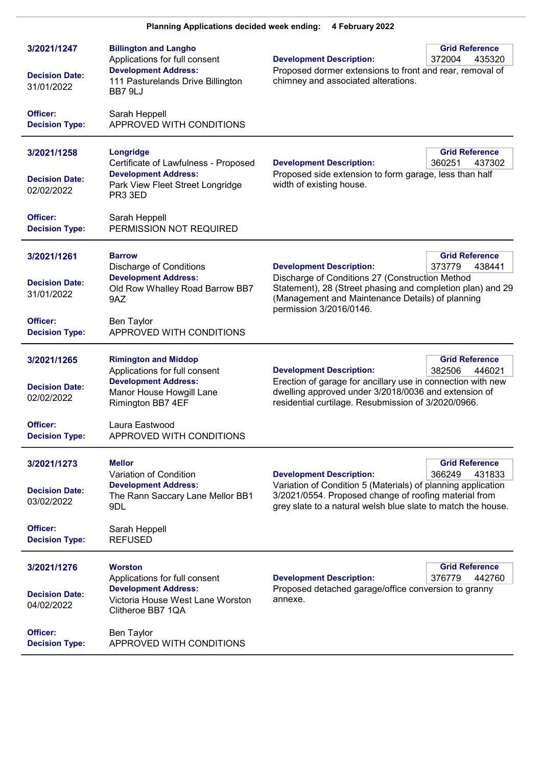| 3/2021/1247<br><b>Decision Date:</b><br>31/01/2022             | <b>Billington and Langho</b><br>Applications for full consent<br><b>Development Address:</b><br>111 Pasturelands Drive Billington<br>BB7 9LJ | <b>Development Description:</b><br>Proposed dormer extensions to front and rear, removal of<br>chimney and associated alterations.                                                                                              | <b>Grid Reference</b><br>372004<br>435320 |
|----------------------------------------------------------------|----------------------------------------------------------------------------------------------------------------------------------------------|---------------------------------------------------------------------------------------------------------------------------------------------------------------------------------------------------------------------------------|-------------------------------------------|
| Officer:<br><b>Decision Type:</b>                              | Sarah Heppell<br>APPROVED WITH CONDITIONS                                                                                                    |                                                                                                                                                                                                                                 |                                           |
| 3/2021/1258<br><b>Decision Date:</b><br>02/02/2022             | Longridge<br>Certificate of Lawfulness - Proposed<br><b>Development Address:</b><br>Park View Fleet Street Longridge<br>PR3 3ED              | <b>Development Description:</b><br>Proposed side extension to form garage, less than half<br>width of existing house.                                                                                                           | <b>Grid Reference</b><br>360251<br>437302 |
| Officer:<br><b>Decision Type:</b>                              | Sarah Heppell<br>PERMISSION NOT REQUIRED                                                                                                     |                                                                                                                                                                                                                                 |                                           |
| 3/2021/1261<br><b>Decision Date:</b><br>31/01/2022<br>Officer: | <b>Barrow</b><br><b>Discharge of Conditions</b><br><b>Development Address:</b><br>Old Row Whalley Road Barrow BB7<br>9AZ<br>Ben Taylor       | <b>Development Description:</b><br>Discharge of Conditions 27 (Construction Method<br>Statement), 28 (Street phasing and completion plan) and 29<br>(Management and Maintenance Details) of planning<br>permission 3/2016/0146. | <b>Grid Reference</b><br>373779<br>438441 |
| <b>Decision Type:</b>                                          | APPROVED WITH CONDITIONS                                                                                                                     |                                                                                                                                                                                                                                 |                                           |
| 3/2021/1265<br><b>Decision Date:</b><br>02/02/2022             | <b>Rimington and Middop</b><br>Applications for full consent<br><b>Development Address:</b><br>Manor House Howgill Lane<br>Rimington BB7 4EF | <b>Development Description:</b><br>Erection of garage for ancillary use in connection with new<br>dwelling approved under 3/2018/0036 and extension of<br>residential curtilage. Resubmission of 3/2020/0966.                   | <b>Grid Reference</b><br>382506<br>446021 |
| Officer:<br><b>Decision Type:</b>                              | Laura Eastwood<br>APPROVED WITH CONDITIONS                                                                                                   |                                                                                                                                                                                                                                 |                                           |
| 3/2021/1273<br><b>Decision Date:</b><br>03/02/2022             | <b>Mellor</b><br>Variation of Condition<br><b>Development Address:</b><br>The Rann Saccary Lane Mellor BB1<br>9DL                            | <b>Development Description:</b><br>Variation of Condition 5 (Materials) of planning application<br>3/2021/0554. Proposed change of roofing material from<br>grey slate to a natural welsh blue slate to match the house.        | <b>Grid Reference</b><br>366249<br>431833 |
| Officer:<br><b>Decision Type:</b>                              | Sarah Heppell<br><b>REFUSED</b>                                                                                                              |                                                                                                                                                                                                                                 |                                           |
| 3/2021/1276<br><b>Decision Date:</b><br>04/02/2022             | <b>Worston</b><br>Applications for full consent<br><b>Development Address:</b><br>Victoria House West Lane Worston<br>Clitheroe BB7 1QA      | <b>Development Description:</b><br>Proposed detached garage/office conversion to granny<br>annexe.                                                                                                                              | <b>Grid Reference</b><br>376779<br>442760 |
| Officer:<br><b>Decision Type:</b>                              | <b>Ben Taylor</b><br>APPROVED WITH CONDITIONS                                                                                                |                                                                                                                                                                                                                                 |                                           |